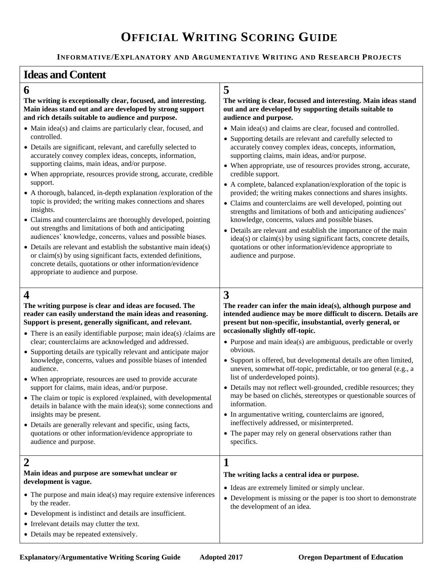# **OFFICIAL WRITING SCORING GUIDE**

### **INFORMATIVE/EXPLANATORY AND ARGUMENTATIVE WRITING AND RESEARCH PROJECTS**

## **Ideas and Content**

# **6 5**

#### **The writing is exceptionally clear, focused, and interesting. Main ideas stand out and are developed by strong support and rich details suitable to audience and purpose.**

- Main idea(s) and claims are particularly clear, focused, and controlled.
- Details are significant, relevant, and carefully selected to accurately convey complex ideas, concepts, information, supporting claims, main ideas, and/or purpose.
- When appropriate, resources provide strong, accurate, credible support.
- A thorough, balanced, in-depth explanation /exploration of the topic is provided; the writing makes connections and shares insights.
- Claims and counterclaims are thoroughly developed, pointing out strengths and limitations of both and anticipating audiences' knowledge, concerns, values and possible biases.
- Details are relevant and establish the substantive main idea(s) or claim(s) by using significant facts, extended definitions, concrete details, quotations or other information/evidence appropriate to audience and purpose.

# **4 3**

**The writing purpose is clear and ideas are focused. The reader can easily understand the main ideas and reasoning. Support is present, generally significant, and relevant.**

- There is an easily identifiable purpose; main idea(s) /claims are clear; counterclaims are acknowledged and addressed.
- Supporting details are typically relevant and anticipate major knowledge, concerns, values and possible biases of intended audience.
- When appropriate, resources are used to provide accurate support for claims, main ideas, and/or purpose.
- The claim or topic is explored /explained, with developmental details in balance with the main idea(s); some connections and insights may be present.
- Details are generally relevant and specific, using facts, quotations or other information/evidence appropriate to audience and purpose.

## **2 1 Main ideas and purpose are somewhat unclear or development is vague.**

• The purpose and main idea(s) may require extensive inferences by the reader.

- Development is indistinct and details are insufficient.
- Irrelevant details may clutter the text.
- Details may be repeated extensively.

#### **The writing is clear, focused and interesting. Main ideas stand out and are developed by supporting details suitable to audience and purpose.**

- Main idea(s) and claims are clear, focused and controlled.
- Supporting details are relevant and carefully selected to accurately convey complex ideas, concepts, information, supporting claims, main ideas, and/or purpose.
- When appropriate, use of resources provides strong, accurate, credible support.
- A complete, balanced explanation/exploration of the topic is provided; the writing makes connections and shares insights.
- Claims and counterclaims are well developed, pointing out strengths and limitations of both and anticipating audiences' knowledge, concerns, values and possible biases.
- Details are relevant and establish the importance of the main idea(s) or claim(s) by using significant facts, concrete details, quotations or other information/evidence appropriate to audience and purpose.

**The reader can infer the main idea(s), although purpose and intended audience may be more difficult to discern. Details are present but non-specific, insubstantial, overly general, or occasionally slightly off-topic.** 

- Purpose and main idea(s) are ambiguous, predictable or overly obvious.
- Support is offered, but developmental details are often limited, uneven, somewhat off-topic, predictable, or too general (e.g., a list of underdeveloped points).
- Details may not reflect well-grounded, credible resources; they may be based on clichés, stereotypes or questionable sources of information.
- In argumentative writing, counterclaims are ignored, ineffectively addressed, or misinterpreted.
- The paper may rely on general observations rather than specifics.

#### **The writing lacks a central idea or purpose.**

- Ideas are extremely limited or simply unclear.
- Development is missing or the paper is too short to demonstrate the development of an idea.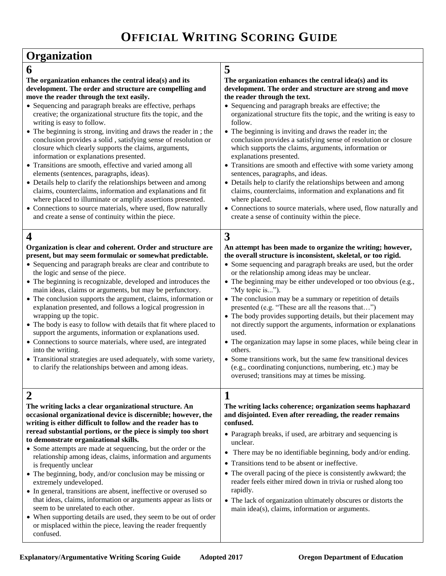| Organization                                                                                                                                                                                                                                                                                                                                                                                                                                                                                                                                                                                                                                                                                                                                                                                                                                                                                                                                                                                    |                                                                                                                                                                                                                                                                                                                                                                                                                                                                                                                                                                                                                                                                                                                                                                                                                                                                                              |  |
|-------------------------------------------------------------------------------------------------------------------------------------------------------------------------------------------------------------------------------------------------------------------------------------------------------------------------------------------------------------------------------------------------------------------------------------------------------------------------------------------------------------------------------------------------------------------------------------------------------------------------------------------------------------------------------------------------------------------------------------------------------------------------------------------------------------------------------------------------------------------------------------------------------------------------------------------------------------------------------------------------|----------------------------------------------------------------------------------------------------------------------------------------------------------------------------------------------------------------------------------------------------------------------------------------------------------------------------------------------------------------------------------------------------------------------------------------------------------------------------------------------------------------------------------------------------------------------------------------------------------------------------------------------------------------------------------------------------------------------------------------------------------------------------------------------------------------------------------------------------------------------------------------------|--|
| 6                                                                                                                                                                                                                                                                                                                                                                                                                                                                                                                                                                                                                                                                                                                                                                                                                                                                                                                                                                                               | 5                                                                                                                                                                                                                                                                                                                                                                                                                                                                                                                                                                                                                                                                                                                                                                                                                                                                                            |  |
| The organization enhances the central idea(s) and its<br>development. The order and structure are compelling and<br>move the reader through the text easily.<br>• Sequencing and paragraph breaks are effective, perhaps<br>creative; the organizational structure fits the topic, and the<br>writing is easy to follow.<br>• The beginning is strong, inviting and draws the reader in; the<br>conclusion provides a solid, satisfying sense of resolution or<br>closure which clearly supports the claims, arguments,<br>information or explanations presented.<br>• Transitions are smooth, effective and varied among all<br>elements (sentences, paragraphs, ideas).<br>• Details help to clarify the relationships between and among<br>claims, counterclaims, information and explanations and fit<br>where placed to illuminate or amplify assertions presented.<br>• Connections to source materials, where used, flow naturally<br>and create a sense of continuity within the piece. | The organization enhances the central idea(s) and its<br>development. The order and structure are strong and move<br>the reader through the text.<br>• Sequencing and paragraph breaks are effective; the<br>organizational structure fits the topic, and the writing is easy to<br>follow.<br>• The beginning is inviting and draws the reader in; the<br>conclusion provides a satisfying sense of resolution or closure<br>which supports the claims, arguments, information or<br>explanations presented.<br>• Transitions are smooth and effective with some variety among<br>sentences, paragraphs, and ideas.<br>• Details help to clarify the relationships between and among<br>claims, counterclaims, information and explanations and fit<br>where placed.<br>• Connections to source materials, where used, flow naturally and<br>create a sense of continuity within the piece. |  |
| $\overline{\mathbf{4}}$                                                                                                                                                                                                                                                                                                                                                                                                                                                                                                                                                                                                                                                                                                                                                                                                                                                                                                                                                                         | 3                                                                                                                                                                                                                                                                                                                                                                                                                                                                                                                                                                                                                                                                                                                                                                                                                                                                                            |  |
| Organization is clear and coherent. Order and structure are<br>present, but may seem formulaic or somewhat predictable.<br>• Sequencing and paragraph breaks are clear and contribute to<br>the logic and sense of the piece.<br>• The beginning is recognizable, developed and introduces the<br>main ideas, claims or arguments, but may be perfunctory.<br>• The conclusion supports the argument, claims, information or<br>explanation presented, and follows a logical progression in<br>wrapping up the topic.<br>• The body is easy to follow with details that fit where placed to<br>support the arguments, information or explanations used.<br>• Connections to source materials, where used, are integrated<br>into the writing.<br>• Transitional strategies are used adequately, with some variety,<br>to clarify the relationships between and among ideas.                                                                                                                     | An attempt has been made to organize the writing; however,<br>the overall structure is inconsistent, skeletal, or too rigid.<br>• Some sequencing and paragraph breaks are used, but the order<br>or the relationship among ideas may be unclear.<br>• The beginning may be either undeveloped or too obvious (e.g.,<br>"My topic is").<br>• The conclusion may be a summary or repetition of details<br>presented (e.g. "These are all the reasons that")<br>• The body provides supporting details, but their placement may<br>not directly support the arguments, information or explanations<br>used.<br>• The organization may lapse in some places, while being clear in<br>others.<br>• Some transitions work, but the same few transitional devices<br>(e.g., coordinating conjunctions, numbering, etc.) may be<br>overused; transitions may at times be missing.                   |  |
| $\boldsymbol{2}$<br>The writing lacks a clear organizational structure. An<br>occasional organizational device is discernible; however, the<br>writing is either difficult to follow and the reader has to<br>reread substantial portions, or the piece is simply too short<br>to demonstrate organizational skills.<br>• Some attempts are made at sequencing, but the order or the<br>relationship among ideas, claims, information and arguments<br>is frequently unclear<br>• The beginning, body, and/or conclusion may be missing or<br>extremely undeveloped.<br>• In general, transitions are absent, ineffective or overused so<br>that ideas, claims, information or arguments appear as lists or<br>seem to be unrelated to each other.<br>• When supporting details are used, they seem to be out of order<br>or misplaced within the piece, leaving the reader frequently<br>confused.                                                                                             | 1<br>The writing lacks coherence; organization seems haphazard<br>and disjointed. Even after rereading, the reader remains<br>confused.<br>• Paragraph breaks, if used, are arbitrary and sequencing is<br>unclear.<br>There may be no identifiable beginning, body and/or ending.<br>• Transitions tend to be absent or ineffective.<br>• The overall pacing of the piece is consistently awkward; the<br>reader feels either mired down in trivia or rushed along too<br>rapidly.<br>• The lack of organization ultimately obscures or distorts the<br>main idea(s), claims, information or arguments.                                                                                                                                                                                                                                                                                     |  |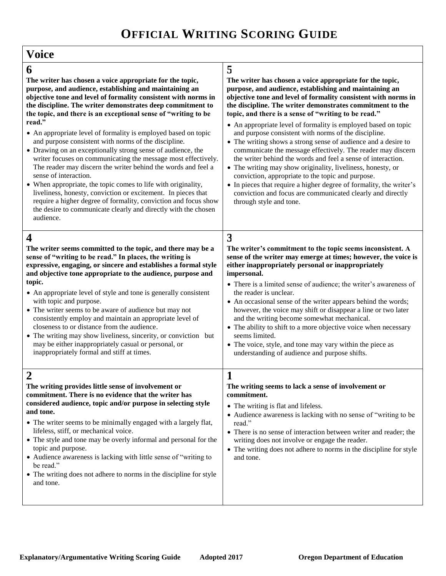| <b>Voice</b>                                                                                                                                                                                                                                                                                                                                                                                                                                                                                                                                                                                                                                                                                                                                                                                                                                                                                                                                                                |                                                                                                                                                                                                                                                                                                                                                                                                                                                                                                                                                                                                                                                                                                                                                                                                                                                                                                                               |
|-----------------------------------------------------------------------------------------------------------------------------------------------------------------------------------------------------------------------------------------------------------------------------------------------------------------------------------------------------------------------------------------------------------------------------------------------------------------------------------------------------------------------------------------------------------------------------------------------------------------------------------------------------------------------------------------------------------------------------------------------------------------------------------------------------------------------------------------------------------------------------------------------------------------------------------------------------------------------------|-------------------------------------------------------------------------------------------------------------------------------------------------------------------------------------------------------------------------------------------------------------------------------------------------------------------------------------------------------------------------------------------------------------------------------------------------------------------------------------------------------------------------------------------------------------------------------------------------------------------------------------------------------------------------------------------------------------------------------------------------------------------------------------------------------------------------------------------------------------------------------------------------------------------------------|
| 6<br>The writer has chosen a voice appropriate for the topic,<br>purpose, and audience, establishing and maintaining an<br>objective tone and level of formality consistent with norms in<br>the discipline. The writer demonstrates deep commitment to<br>the topic, and there is an exceptional sense of "writing to be<br>read."<br>• An appropriate level of formality is employed based on topic<br>and purpose consistent with norms of the discipline.<br>• Drawing on an exceptionally strong sense of audience, the<br>writer focuses on communicating the message most effectively.<br>The reader may discern the writer behind the words and feel a<br>sense of interaction.<br>• When appropriate, the topic comes to life with originality,<br>liveliness, honesty, conviction or excitement. In pieces that<br>require a higher degree of formality, conviction and focus show<br>the desire to communicate clearly and directly with the chosen<br>audience. | 5<br>The writer has chosen a voice appropriate for the topic,<br>purpose, and audience, establishing and maintaining an<br>objective tone and level of formality consistent with norms in<br>the discipline. The writer demonstrates commitment to the<br>topic, and there is a sense of "writing to be read."<br>• An appropriate level of formality is employed based on topic<br>and purpose consistent with norms of the discipline.<br>• The writing shows a strong sense of audience and a desire to<br>communicate the message effectively. The reader may discern<br>the writer behind the words and feel a sense of interaction.<br>• The writing may show originality, liveliness, honesty, or<br>conviction, appropriate to the topic and purpose.<br>• In pieces that require a higher degree of formality, the writer's<br>conviction and focus are communicated clearly and directly<br>through style and tone. |
| $\boldsymbol{4}$<br>The writer seems committed to the topic, and there may be a<br>sense of "writing to be read." In places, the writing is<br>expressive, engaging, or sincere and establishes a formal style<br>and objective tone appropriate to the audience, purpose and<br>topic.<br>• An appropriate level of style and tone is generally consistent<br>with topic and purpose.<br>• The writer seems to be aware of audience but may not<br>consistently employ and maintain an appropriate level of<br>closeness to or distance from the audience.<br>• The writing may show liveliness, sincerity, or conviction but<br>may be either inappropriately casual or personal, or<br>inappropriately formal and stiff at times.                                                                                                                                                                                                                                        | 3<br>The writer's commitment to the topic seems inconsistent. A<br>sense of the writer may emerge at times; however, the voice is<br>either inappropriately personal or inappropriately<br>impersonal.<br>• There is a limited sense of audience; the writer's awareness of<br>the reader is unclear.<br>• An occasional sense of the writer appears behind the words;<br>however, the voice may shift or disappear a line or two later<br>and the writing become somewhat mechanical.<br>• The ability to shift to a more objective voice when necessary<br>seems limited.<br>• The voice, style, and tone may vary within the piece as<br>understanding of audience and purpose shifts.                                                                                                                                                                                                                                     |
| $\overline{2}$<br>The writing provides little sense of involvement or<br>commitment. There is no evidence that the writer has<br>considered audience, topic and/or purpose in selecting style<br>and tone.<br>• The writer seems to be minimally engaged with a largely flat,<br>lifeless, stiff, or mechanical voice.<br>• The style and tone may be overly informal and personal for the<br>topic and purpose.<br>• Audience awareness is lacking with little sense of "writing to<br>be read."<br>• The writing does not adhere to norms in the discipline for style<br>and tone.                                                                                                                                                                                                                                                                                                                                                                                        | 1<br>The writing seems to lack a sense of involvement or<br>commitment.<br>• The writing is flat and lifeless.<br>• Audience awareness is lacking with no sense of "writing to be<br>read."<br>• There is no sense of interaction between writer and reader; the<br>writing does not involve or engage the reader.<br>• The writing does not adhere to norms in the discipline for style<br>and tone.                                                                                                                                                                                                                                                                                                                                                                                                                                                                                                                         |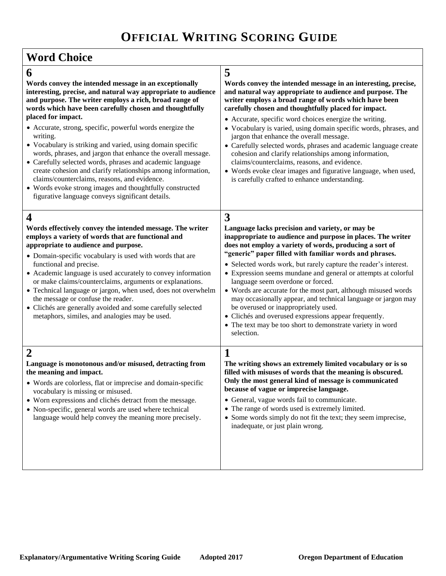$\mathsf{r}$ 

| <b>Word Choice</b>                                                                                                                                                                                                                                                                                                                                                                                                                                                                                                                                                                                                                                                                                                                                                         |                                                                                                                                                                                                                                                                                                                                                                                                                                                                                                                                                                                                                                                                                                                                      |
|----------------------------------------------------------------------------------------------------------------------------------------------------------------------------------------------------------------------------------------------------------------------------------------------------------------------------------------------------------------------------------------------------------------------------------------------------------------------------------------------------------------------------------------------------------------------------------------------------------------------------------------------------------------------------------------------------------------------------------------------------------------------------|--------------------------------------------------------------------------------------------------------------------------------------------------------------------------------------------------------------------------------------------------------------------------------------------------------------------------------------------------------------------------------------------------------------------------------------------------------------------------------------------------------------------------------------------------------------------------------------------------------------------------------------------------------------------------------------------------------------------------------------|
| 6<br>Words convey the intended message in an exceptionally<br>interesting, precise, and natural way appropriate to audience<br>and purpose. The writer employs a rich, broad range of<br>words which have been carefully chosen and thoughtfully<br>placed for impact.<br>• Accurate, strong, specific, powerful words energize the<br>writing.<br>• Vocabulary is striking and varied, using domain specific<br>words, phrases, and jargon that enhance the overall message.<br>• Carefully selected words, phrases and academic language<br>create cohesion and clarify relationships among information,<br>claims/counterclaims, reasons, and evidence.<br>• Words evoke strong images and thoughtfully constructed<br>figurative language conveys significant details. | 5<br>Words convey the intended message in an interesting, precise,<br>and natural way appropriate to audience and purpose. The<br>writer employs a broad range of words which have been<br>carefully chosen and thoughtfully placed for impact.<br>• Accurate, specific word choices energize the writing.<br>• Vocabulary is varied, using domain specific words, phrases, and<br>jargon that enhance the overall message.<br>• Carefully selected words, phrases and academic language create<br>cohesion and clarify relationships among information,<br>claims/counterclaims, reasons, and evidence.<br>• Words evoke clear images and figurative language, when used,<br>is carefully crafted to enhance understanding.         |
| 4<br>Words effectively convey the intended message. The writer<br>employs a variety of words that are functional and<br>appropriate to audience and purpose.<br>• Domain-specific vocabulary is used with words that are<br>functional and precise.<br>• Academic language is used accurately to convey information<br>or make claims/counterclaims, arguments or explanations.<br>• Technical language or jargon, when used, does not overwhelm<br>the message or confuse the reader.<br>• Clichés are generally avoided and some carefully selected<br>metaphors, similes, and analogies may be used.                                                                                                                                                                    | 3<br>Language lacks precision and variety, or may be<br>inappropriate to audience and purpose in places. The writer<br>does not employ a variety of words, producing a sort of<br>"generic" paper filled with familiar words and phrases.<br>• Selected words work, but rarely capture the reader's interest.<br>• Expression seems mundane and general or attempts at colorful<br>language seem overdone or forced.<br>• Words are accurate for the most part, although misused words<br>may occasionally appear, and technical language or jargon may<br>be overused or inappropriately used.<br>• Clichés and overused expressions appear frequently.<br>• The text may be too short to demonstrate variety in word<br>selection. |
| $\overline{2}$<br>Language is monotonous and/or misused, detracting from<br>the meaning and impact.<br>• Words are colorless, flat or imprecise and domain-specific<br>vocabulary is missing or misused.<br>• Worn expressions and clichés detract from the message.<br>• Non-specific, general words are used where technical<br>language would help convey the meaning more precisely.                                                                                                                                                                                                                                                                                                                                                                                   | 1<br>The writing shows an extremely limited vocabulary or is so<br>filled with misuses of words that the meaning is obscured.<br>Only the most general kind of message is communicated<br>because of vague or imprecise language.<br>• General, vague words fail to communicate.<br>• The range of words used is extremely limited.<br>• Some words simply do not fit the text; they seem imprecise,<br>inadequate, or just plain wrong.                                                                                                                                                                                                                                                                                             |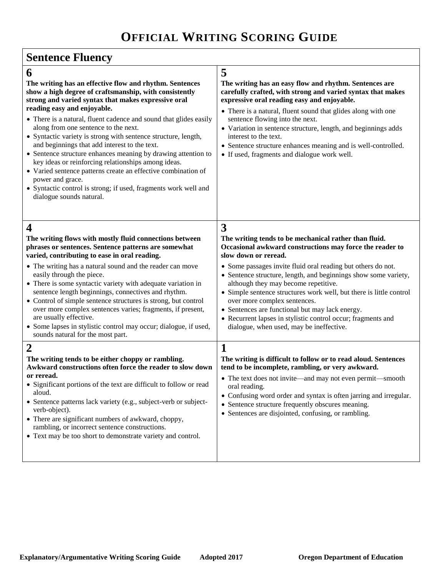# **Sentence Fluency**

| 6                                                                                                                                                                                                                                                                                                                                                                                                                                                                                                                                        | 5                                                                                                                                                                                                                                                                                                                                                                                                                                             |
|------------------------------------------------------------------------------------------------------------------------------------------------------------------------------------------------------------------------------------------------------------------------------------------------------------------------------------------------------------------------------------------------------------------------------------------------------------------------------------------------------------------------------------------|-----------------------------------------------------------------------------------------------------------------------------------------------------------------------------------------------------------------------------------------------------------------------------------------------------------------------------------------------------------------------------------------------------------------------------------------------|
| The writing has an effective flow and rhythm. Sentences<br>show a high degree of craftsmanship, with consistently<br>strong and varied syntax that makes expressive oral<br>reading easy and enjoyable.                                                                                                                                                                                                                                                                                                                                  | The writing has an easy flow and rhythm. Sentences are<br>carefully crafted, with strong and varied syntax that makes<br>expressive oral reading easy and enjoyable.<br>• There is a natural, fluent sound that glides along with one                                                                                                                                                                                                         |
| • There is a natural, fluent cadence and sound that glides easily<br>along from one sentence to the next.<br>• Syntactic variety is strong with sentence structure, length,<br>and beginnings that add interest to the text.<br>• Sentence structure enhances meaning by drawing attention to<br>key ideas or reinforcing relationships among ideas.<br>• Varied sentence patterns create an effective combination of<br>power and grace.<br>• Syntactic control is strong; if used, fragments work well and<br>dialogue sounds natural. | sentence flowing into the next.<br>• Variation in sentence structure, length, and beginnings adds<br>interest to the text.<br>• Sentence structure enhances meaning and is well-controlled.<br>• If used, fragments and dialogue work well.                                                                                                                                                                                                   |
| $\overline{\mathbf{4}}$<br>The writing flows with mostly fluid connections between<br>phrases or sentences. Sentence patterns are somewhat<br>varied, contributing to ease in oral reading.                                                                                                                                                                                                                                                                                                                                              | 3<br>The writing tends to be mechanical rather than fluid.<br>Occasional awkward constructions may force the reader to<br>slow down or reread.                                                                                                                                                                                                                                                                                                |
| • The writing has a natural sound and the reader can move<br>easily through the piece.<br>• There is some syntactic variety with adequate variation in<br>sentence length beginnings, connectives and rhythm.<br>• Control of simple sentence structures is strong, but control<br>over more complex sentences varies; fragments, if present,<br>are usually effective.<br>• Some lapses in stylistic control may occur; dialogue, if used,<br>sounds natural for the most part.                                                         | • Some passages invite fluid oral reading but others do not.<br>• Sentence structure, length, and beginnings show some variety,<br>although they may become repetitive.<br>• Simple sentence structures work well, but there is little control<br>over more complex sentences.<br>• Sentences are functional but may lack energy.<br>• Recurrent lapses in stylistic control occur; fragments and<br>dialogue, when used, may be ineffective. |
| $\overline{2}$                                                                                                                                                                                                                                                                                                                                                                                                                                                                                                                           | 1                                                                                                                                                                                                                                                                                                                                                                                                                                             |
| The writing tends to be either choppy or rambling.<br>Awkward constructions often force the reader to slow down<br>or reread.<br>• Significant portions of the text are difficult to follow or read<br>aloud.<br>• Sentence patterns lack variety (e.g., subject-verb or subject-<br>verb-object).<br>• There are significant numbers of awkward, choppy,<br>rambling, or incorrect sentence constructions.<br>• Text may be too short to demonstrate variety and control.                                                               | The writing is difficult to follow or to read aloud. Sentences<br>tend to be incomplete, rambling, or very awkward.<br>• The text does not invite—and may not even permit—smooth<br>oral reading.<br>• Confusing word order and syntax is often jarring and irregular.<br>• Sentence structure frequently obscures meaning.<br>• Sentences are disjointed, confusing, or rambling.                                                            |
|                                                                                                                                                                                                                                                                                                                                                                                                                                                                                                                                          |                                                                                                                                                                                                                                                                                                                                                                                                                                               |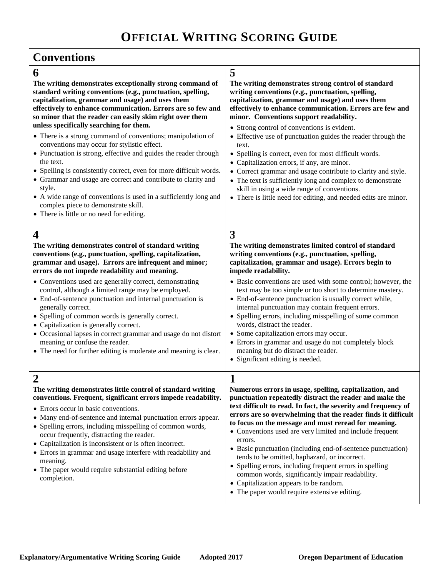# **OFFICIAL WRITING SCORING GUIDE**

| 6<br>The writing demonstrates exceptionally strong command of<br>standard writing conventions (e.g., punctuation, spelling,<br>capitalization, grammar and usage) and uses them<br>effectively to enhance communication. Errors are so few and<br>so minor that the reader can easily skim right over them<br>unless specifically searching for them.<br>• There is a strong command of conventions; manipulation of<br>conventions may occur for stylistic effect.<br>• Punctuation is strong, effective and guides the reader through<br>the text.<br>• Spelling is consistently correct, even for more difficult words.<br>• Grammar and usage are correct and contribute to clarity and<br>style.<br>• A wide range of conventions is used in a sufficiently long and<br>complex piece to demonstrate skill.<br>• There is little or no need for editing. | 5<br>The writing demonstrates strong control of standard<br>writing conventions (e.g., punctuation, spelling,<br>capitalization, grammar and usage) and uses them<br>effectively to enhance communication. Errors are few and<br>minor. Conventions support readability.<br>• Strong control of conventions is evident.<br>• Effective use of punctuation guides the reader through the<br>text.<br>• Spelling is correct, even for most difficult words.<br>• Capitalization errors, if any, are minor.<br>• Correct grammar and usage contribute to clarity and style.<br>• The text is sufficiently long and complex to demonstrate<br>skill in using a wide range of conventions.<br>• There is little need for editing, and needed edits are minor. |
|---------------------------------------------------------------------------------------------------------------------------------------------------------------------------------------------------------------------------------------------------------------------------------------------------------------------------------------------------------------------------------------------------------------------------------------------------------------------------------------------------------------------------------------------------------------------------------------------------------------------------------------------------------------------------------------------------------------------------------------------------------------------------------------------------------------------------------------------------------------|----------------------------------------------------------------------------------------------------------------------------------------------------------------------------------------------------------------------------------------------------------------------------------------------------------------------------------------------------------------------------------------------------------------------------------------------------------------------------------------------------------------------------------------------------------------------------------------------------------------------------------------------------------------------------------------------------------------------------------------------------------|
| $\overline{\mathbf{4}}$<br>The writing demonstrates control of standard writing<br>conventions (e.g., punctuation, spelling, capitalization,<br>grammar and usage). Errors are infrequent and minor;<br>errors do not impede readability and meaning.<br>• Conventions used are generally correct, demonstrating<br>control, although a limited range may be employed.<br>• End-of-sentence punctuation and internal punctuation is<br>generally correct.<br>• Spelling of common words is generally correct.<br>• Capitalization is generally correct.<br>• Occasional lapses in correct grammar and usage do not distort<br>meaning or confuse the reader.<br>• The need for further editing is moderate and meaning is clear.                                                                                                                              | 3<br>The writing demonstrates limited control of standard<br>writing conventions (e.g., punctuation, spelling,<br>capitalization, grammar and usage). Errors begin to<br>impede readability.<br>• Basic conventions are used with some control; however, the<br>text may be too simple or too short to determine mastery.<br>• End-of-sentence punctuation is usually correct while,<br>internal punctuation may contain frequent errors.<br>• Spelling errors, including misspelling of some common<br>words, distract the reader.<br>• Some capitalization errors may occur.<br>• Errors in grammar and usage do not completely block<br>meaning but do distract the reader.<br>• Significant editing is needed.                                       |
| The writing demonstrates little control of standard writing<br>conventions. Frequent, significant errors impede readability.<br>• Errors occur in basic conventions.<br>• Many end-of-sentence and internal punctuation errors appear.<br>• Spelling errors, including misspelling of common words,<br>occur frequently, distracting the reader.<br>• Capitalization is inconsistent or is often incorrect.<br>• Errors in grammar and usage interfere with readability and<br>meaning.<br>• The paper would require substantial editing before<br>completion.                                                                                                                                                                                                                                                                                                | 1<br>Numerous errors in usage, spelling, capitalization, and<br>punctuation repeatedly distract the reader and make the<br>text difficult to read. In fact, the severity and frequency of<br>errors are so overwhelming that the reader finds it difficult<br>to focus on the message and must reread for meaning.<br>• Conventions used are very limited and include frequent<br>errors.<br>• Basic punctuation (including end-of-sentence punctuation)<br>tends to be omitted, haphazard, or incorrect.<br>• Spelling errors, including frequent errors in spelling<br>common words, significantly impair readability.<br>• Capitalization appears to be random.<br>• The paper would require extensive editing.                                       |